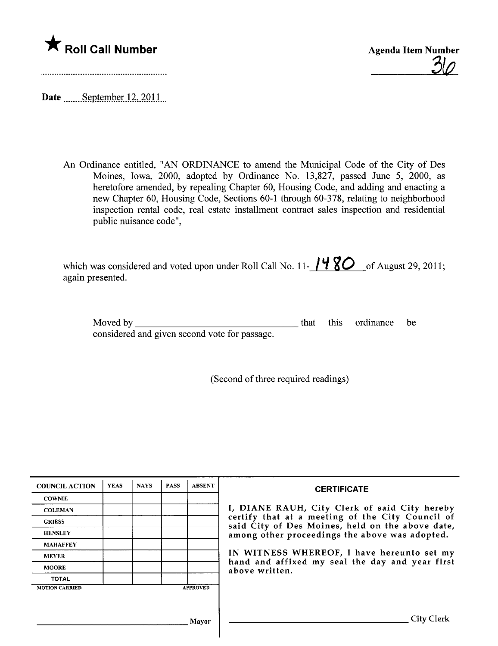

 $30$ 

Date  $\frac{\text{September }12,2011}{\text{September}}$ 

An Ordinance entitled, "AN ORDINANCE to amend the Municipal Code of the City of Des Moines, Iowa, 2000, adopted by Ordinance No. 13,827, passed June 5, 2000, as heretofore amended, by repealing Chapter 60, Housing Code, and adding and enacting a new Chapter 60, Housing Code, Sections 60-1 through 60-378, relating to neighborhood inspection rental code, real estate installment contract sales inspection and residential public nuisance code",

| which was considered and voted upon under Roll Call No. 11- $/480$ of August 29, 2011; |  |
|----------------------------------------------------------------------------------------|--|
| again presented.                                                                       |  |

Moved by

that this ordinance be

 $\mathbf{A}$  and  $\mathbf{A}$ 

considered and given second vote for passage.

(Second of three required readings)

| <b>COUNCIL ACTION</b> | <b>YEAS</b> | <b>NAYS</b> | <b>PASS</b> | <b>ABSENT</b>   | <b>CERTIFICATE</b>                                                                                   |
|-----------------------|-------------|-------------|-------------|-----------------|------------------------------------------------------------------------------------------------------|
| <b>COWNIE</b>         |             |             |             |                 |                                                                                                      |
| <b>COLEMAN</b>        |             |             |             |                 | I, DIANE RAUH, City Clerk of said City hereby                                                        |
| <b>GRIESS</b>         |             |             |             |                 | certify that at a meeting of the City Council of<br>said City of Des Moines, held on the above date, |
| <b>HENSLEY</b>        |             |             |             |                 | among other proceedings the above was adopted.                                                       |
| <b>MAHAFFEY</b>       |             |             |             |                 |                                                                                                      |
| <b>MEYER</b>          |             |             |             |                 | IN WITNESS WHEREOF, I have hereunto set my                                                           |
| <b>MOORE</b>          |             |             |             |                 | hand and affixed my seal the day and year first<br>above written.                                    |
| <b>TOTAL</b>          |             |             |             |                 |                                                                                                      |
| <b>MOTION CARRIED</b> |             |             |             | <b>APPROVED</b> |                                                                                                      |
|                       |             |             |             |                 |                                                                                                      |
|                       |             |             |             | Mayor           | <b>City Clerk</b>                                                                                    |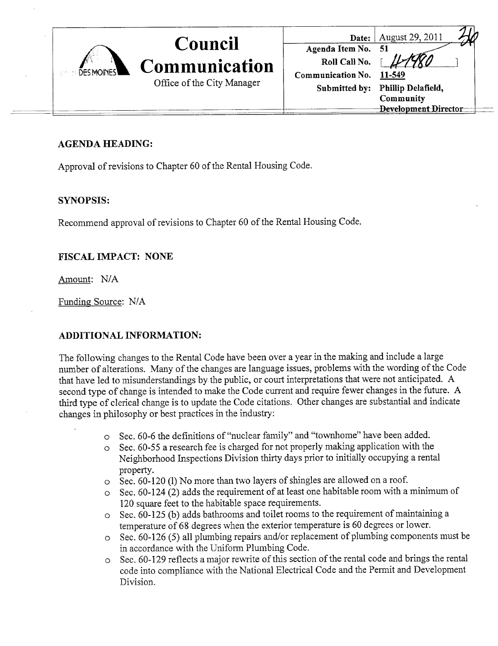

### AGENDA HEADING:

Approval of revisions to Chapter 60 of the Rental Housing Code.

### SYNOPSIS:

Recommend approval of revisions to Chapter 60 of the Rental Housing Code.

### FISCAL IMPACT: NONE

Amount: N/A

Funding Source: N/A

### ADDITIONAL INFORMATION:

The following changes to the Rental Code have been over a year in the making and include a large number of alterations. Many of the changes are language issues, problems with the wording of the Code that have led to misunderstandings by the public, or court interpretations that were not anticipated. A second type of change is intended to make the Code curent and require fewer changes in the futue. A third type of clerical change is to update the Code citations. Other changes are substantial and indicate changes in philosophy or best practices in the industry:

- o Sec. 60-6 the definitions of "nuclear family" and "townhome" have been added.
- $\circ$  Sec. 60-55 a research fee is charged for not properly making application with the Neighborhood Inspections Division thirty days prior to initially occupying a rental property.
- $\circ$  Sec. 60-120 (1) No more than two layers of shingles are allowed on a roof.
- $\circ$  Sec. 60-124 (2) adds the requirement of at least one habitable room with a minimum of 120 square feet to the habitable space requirements.
- $\circ$  Sec. 60-125 (b) adds bathrooms and toilet rooms to the requirement of maintaining a temperatue of 68 degrees when the exterior temperatue is 60 degrees or lower.
- o Sec. 60-126 (5) all plumbing repairs and/or replacement of plumbing components must be in accordance with the Uniform Plumbing Code.
- $\circ$  Sec. 60-129 reflects a major rewrite of this section of the rental code and brings the rental code into compliance with the National Electrical Code and the Pennit and Development Division.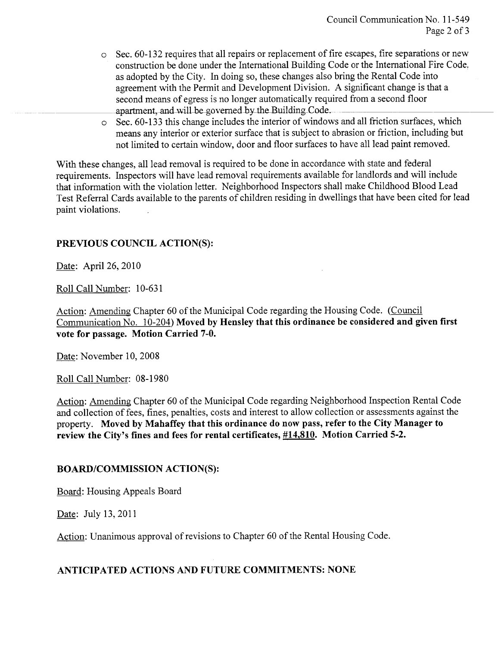- o Sec. 60-132 requires that all repairs or replacement of fire escapes, fire separations or new construction be done under the International Building Code or the International Fire Code. as adopted by the City. In doing so, these changes also bring the Rental Code into agreement with the Permit and Development Division. A significant change is that a second means of egress is no longer automatically required from a second floor apartment, and will be governed by the Building Code.
- o Sec. 60-133 this change includes the interior of windows and all friction surfaces, which means any interior or exterior surface that is subject to abrasion or friction, including but not limited to certain window, door and floor surfaces to have all lead paint removed.

With these changes, all lead removal is required to be done in accordance with state and federal requirements. Inspectors will have lead removal requirements available for landlords and will include that information with the violation letter. Neighborhood Inspectors shall make Childhood Blood Lead Test Referral Cards available to the parents of children residing in dwellings that have been cited for lead paint violations.

### PREVIOUS COUNCIL ACTION(S):

Date: April 26, 2010

Roll Call Number: 10-631

Action: Amending Chapter 60 of the Municipal Code regarding the Housing Code. (Council Communication No. 10-204) Moved by Hensley that this ordinance be considered and given first vote for passage. Motion Carried 7-0.

Date: November 10, 2008

Roll Call Number: 08-1980

Action: Amending Chapter 60 of the Municipal Code regarding Neighborhood Inspection Rental Code and collection of fees, fines, penalties, costs and interest to allow collection or assessments against the property. Moved by Mahaffey that this ordinance do now pass, refer to the City Manager to review the City's fines and fees for rental certificates, #14.810. Motion Carried 5-2.

### BOARD/COMMISSION ACTION(S):

Board: Housing Appeals Board

Date: July 13,2011

Action: Unanimous approval of revisions to Chapter 60 of the Rental Housing Code.

### ANTICIPATED ACTIONS AND FUTURE COMMITMENTS: NONE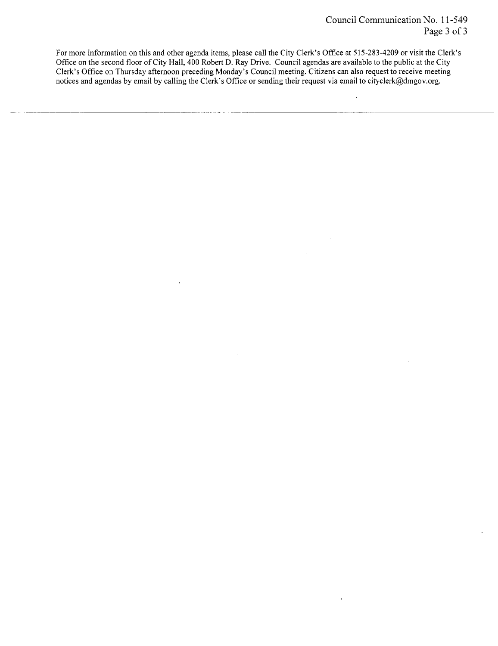$\ddot{\phantom{a}}$ 

 $\ddot{\phantom{0}}$ 

For more information on this and other agenda items, please call the City Clerk's Offce at 515-283-4209 or visit the Clerk's Office on the second floor of City Hall, 400 Robert D. Ray Drive. Council agendas are available to the public at the City Clerk's Office on Thursday afternoon preceding Monday's Council meeting. Citizens can also request to receive meeting notices and agendas by email by calling the Clerk's Office or sending their request via email to cityclerk@dmgov.org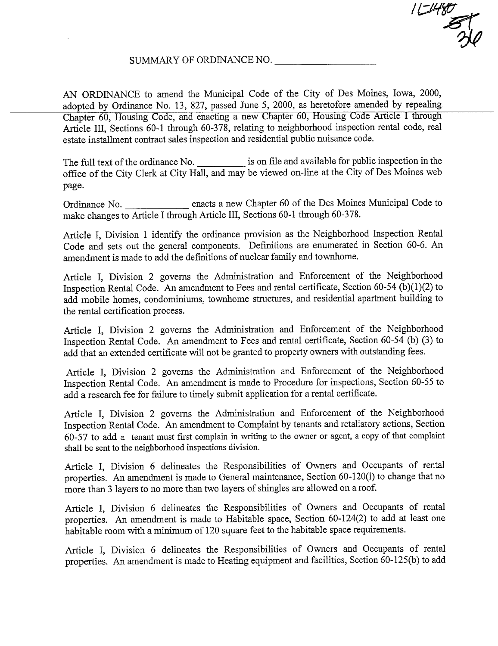/ l; \$ 51

### SUMMAY OF ORDINANCE NO.

AN ORDINANCE to amend the Municipal Code of the City of Des Moines, Iowa, 2000, adopted by Ordinance No. 13, 827, passed June 5, 2000, as heretofore amended by repealing Chapter 60, Housing Code, and enacting a new Chapter 60, Housing Code Aricle I though Aricle III, Sections 60-1 though 60-378, relating to neighborhood inspection rental code, real estate instalment contract sales inspection and residential public nuisance code.

The full text of the ordinance No. is on file and available for public inspection in the office of the City Clerk at City Hall, and may be viewed on-line at the City of Des Moines web page.

Ordinance No. enacts a new Chapter 60 of the Des Moines Muncipal Code to make changes to Article I through Article III, Sections 60-1 through 60-378.

Aricle I, Division 1 identify the ordinance provision as the Neighborhood Inspection Rental Code and sets out the general components. Definitions are enumerated in Section 60-6. An amendment is made to add the definitions of nuclear family and townhome.

Article I, Division 2 governs the Administration and Enforcement of the Neighborhood Inspection Rental Code. An amendment to Fees and rental certificate, Section 60-54 (b)(1)(2) to add mobile homes, condominiums, townhome structures, and residential apartment building to the rental certification process.

Aricle I, Division 2 governs the Adminstration and Enforcement of the Neighborhood Inspection Rental Code. An amendment to Fees and rental certificate, Section 60-54 (b) (3) to add that an extended certificate will not be granted to property owners with outstanding fees.

Aricle I, Division 2 governs the Administration and Enforcement of the Neighborhood Inspection Rental Code. An amendment is made to Procedure for inspections, Section 60-55 to add a research fee for failure to timely submit application for a rental certificate.

Article I, Division 2 governs the Administration and Enforcement of the Neighborhood Inspection Rental Code. An amendment to Complaint by tenants and retaliatory actions, Section 60-57 to add a tenant must first complain in writing to the owner or agent, a copy of that complaint shall be sent to the neighborhood inspections division.

Aricle I, Division 6 delineates the Responsibilities of Owners and Occupants of rental properties. An amendment is made to General maintenance, Section 60-120(1) to change that no more than 3 layers to no more than two layers of shingles are allowed on a roof.

Aricle I, Division 6 delineates the Responsibilities of Owners and Occupants of rental properties. An amendment is made to Habitable space, Section 60-124(2) to add at least one habitable room with a minimum of 120 square feet to the habitable space requirements.

Aricle I, Division 6 delineates the Responsibilities of Owners and Occupants of rental properties. An amendment is made to Heating equipment and facilities, Section 60-125(b) to add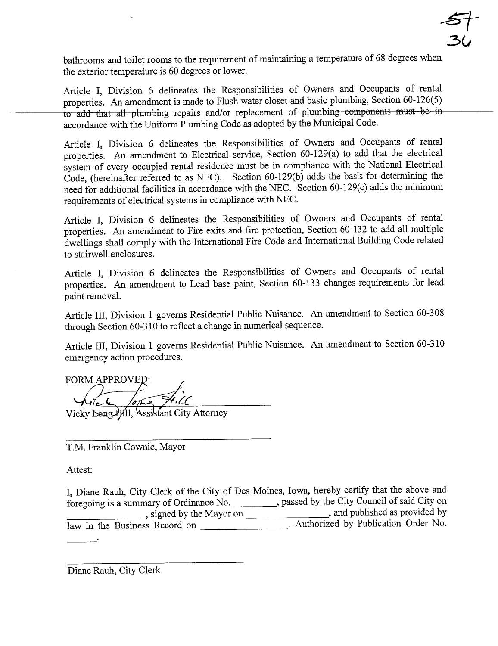

bathrooms and toilet rooms to the requirement of maintaining a temperature of 68 degrees when the exterior temperatue is 60 degrees or lower.

Aricle I, Division 6 delineates the Responsibilities of Owners and Occupants of rental properties. An amendment is made to Flush water closet and basic plumbing, Section 60-126(5) to add that all plumbing repairs and/or replacement of plumbing components must be in accordance with the Uniform Plumbing Code as adopted by the Muncipal Code.

Aricle I, Division 6 delineates the Responsibilities of Owners and Occupants of rental properties. An amendment to Electrical service, Section 60-129(a) to add that the electrical system of every occupied rental residence must be in compliance with the National Electrical Code, (hereinafter referred to as NEC). Section  $60-129(b)$  adds the basis for determining the need for additional facilities in accordance with the NEC. Section 60-129(c) adds the minimum requirements of electrical systems in compliance with NBC.

Aricle I, Division 6 delineates the Responsibilities of Owners and Occupants of rental properties. An amendment to Fire exits and fire protection, Section 60-132 to add all multiple dwellings shall comply with the International Fire Code and Intemational Building Code related to stairwell enclosures.

Aricle I, Division 6 delineates the Responsibilities of Owners and Occupants of rental properties. An amendment to Lead base pait, Section 60-133 changes requirements for lead paint removal.

Aricle III, Division 1 governs Residential Public Nuisance. An amendment to Section 60-308 through Section 60-310 to reflect a change in numerical sequence.

Aricle III, Division 1 governs Residential Public Nuisance. An amendment to Section 60-310 emergency action procedures.

FORM APPROVED:  $\overline{\mathcal{LC}}$ .

istant City Attorney

T.M. Franklin Cownie, Mayor

Attest:

I, Diane Rauh, City Clerk of the City of Des Moines, Iowa, hereby certify that the above and foregoing is a summary of Ordinance No. https://www.com/spaced by the City Council of said City on , signed by the Mayor on \_\_\_\_\_\_\_\_\_\_\_\_\_\_\_\_\_\_\_\_\_\_\_, and published as provided by law in the Business Record on **Authorized** by Publication Order No.

Diane Rauh, City Clerk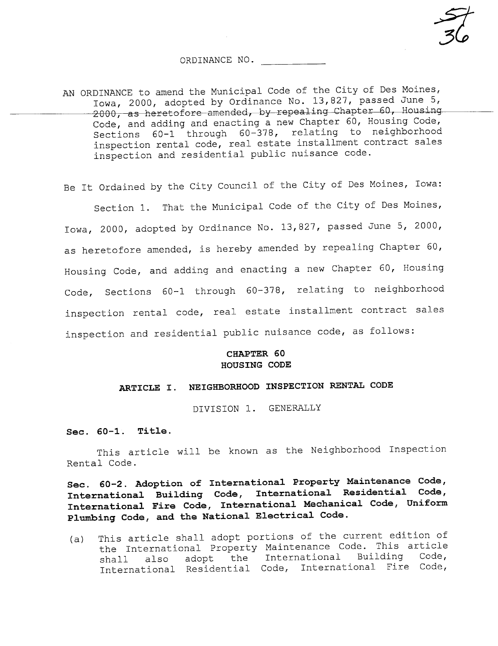ORDINANCE NO.

~<br>34

AN ORDINANCE to amend the Municipal Code of the City of Des Moines, Iowa, 2000, adopted by Ordinance No. 13,827, passed June 5, 2000, as heretofore amended, by repealing Chapter 60, Housing Code, and adding and enacting a new Chapter 60, Housing Code, Sections 60-1 through 60-378, relating to neighborhood inspection rental code, real estate installment contract sales inspection and residential public nuisance code.

Be It Ordained by the City Council of the City of Des Moines, Iowa:

Section 1. That the Municipal Code of the City of Des Moines, Iowa, 2000, adopted by Ordinance No. 13,827, passed June 5, 2000, as heretofore amended, is hereby amended by repealing Chapter 60, Housing Code, and adding and enacting a new Chapter 60, Housing Code, Sections 60-1 through 60-378, relating to neighborhood inspection rental code, real estate installment contract sales inspection and residential public nuisance code, as follows:

#### CHAPTER 60 HOUSING CODE

### ARTICLE I. NEIGHBORHOOD INSPECTION RENTAL CODE

DIVISION 1. GENERALLY

#### Sec. 60-1. Title.

This article will be known as the Neighborhood Inspection Rental Code.

Sec. 60-2. Adoption of International Property Maintenance Code, International Building Code, International Residential Code, International Fire Code, International Mechanical Code, Uniform Plumbing Code, and the National Electrical Code.

(a) This article shall adopt portions of the current edition of the International Property Maintenance Code. This article<br>shall also adopt the International Building Code, shall also adopt the International Building Code, International Residential Code, International Fire Code,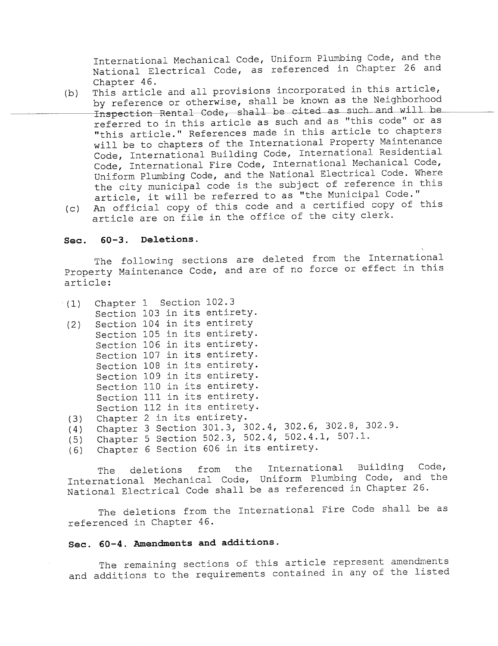International Mechanical Code, Uniform Plumbing Code, and the National Electrical Code, as referenced in Chapter 26 and Chapter 46.

- (b) This article and all provisions incorporated in this article, by reference or otherwise, shall be known as the Neighborhood Inspection Rental Code, shall be cited as such and will be referred to in this article as such and as "this code" or as "this article." References made in this article to chapters will be to chapters of the International Property Maintenance Code, International Building Code, International Residential Code, International Fire Code, International Mechanical Code, Uniform Plumbing Code, and the National Electrical Code. Where the city municipal code is the subject of reference in this article, it will be referred to as "the Municipal Code."
- (c) An official copy of this code and a certified copy of this article are on file in the office of the city clerk.

#### Sec. 60-3. Deletions.

The following sections are deleted from the International Property Maintenance Code, and are of no force or effect in this article:

| (1) | Chapter 1 Section 102.3                              |
|-----|------------------------------------------------------|
|     | Section 103 in its entirety.                         |
| (2) | Section 104 in its entirety                          |
|     | Section 105 in its entirety.                         |
|     | Section 106 in its entirety.                         |
|     | Section 107 in its entirety.                         |
|     | Section 108 in its entirety.                         |
|     | Section 109 in its entirety.                         |
|     | Section 110 in its entirety.                         |
|     | Section 111 in its entirety.                         |
|     | Section 112 in its entirety.                         |
| (3) | Chapter 2 in its entirety.                           |
| (4) | Chapter 3 Section 301.3, 302.4, 302.6, 302.8, 302.9. |
| (5) | Chapter 5 Section 502.3, 502.4, 502.4.1, 507.1.      |
| (6) | Chapter 6 Section 606 in its entirety.               |

The deletions from the International Building Code, International Mechanical Code, Uniform Plumbing Code, and the National Electrical Code shall be as referenced in Chapter 26.

The deletions from the International Fire Code shall be as referenced in Chapter 46.

### Sec. 60-4. Amendments and additions.

The remaining sections of this article represent amendments and additions to the requirements contained in any of the listed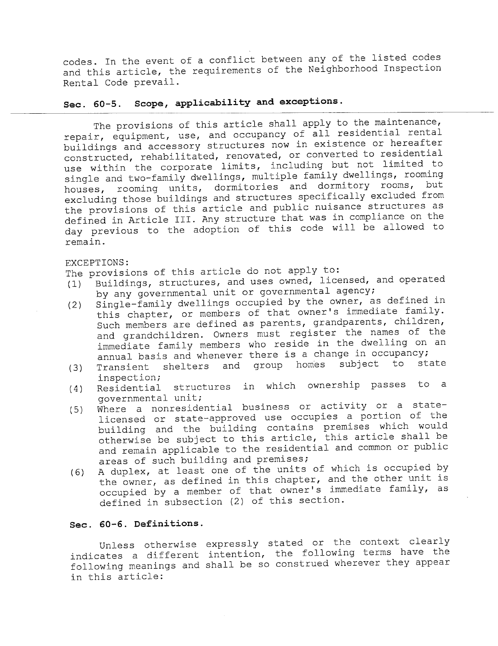codes. In the event of a conflict between any of the listed codes and this article, the requirements of the Neighborhood Inspection Rental Code prevail.

# Sec. 60-5. Scope, applicability and exceptions.

The provisions of this article shall apply to the maintenance, repair, equipment, use, and occupancy of all residential rental buildings and accessory structures now in existence or hereafter constructed, rehabilitated, renovated, or converted to residential use within the corporate limits, including but not limited to single and two-family dwellings, multiple family dwellings, rooming houses, rooming units, dormitories and dormitory rooms, but excluding those buildings and structures specifically excluded from the provisions of this article and public nuisance structures as defined in Article III. Any structure that was in compliance on the day previous to the adoption of this code will be allowed to remain.

#### EXCEPTIONS:

The provisions of this article do not apply to:

- (i) Buildings, structures, and uses owned, licensed, and operated
- by any governmental unit or governmental agency;<br>Single-family dwellings occupied by the owner, as defined in (2) Single-family dwellings occupied by the owner, as defined in this chapter, or members of that owner's immediate family. Such members are defined as parents, grandparents, children, and grandchildren. Owners must register the names of the immediate family members who reside in the dwelling on an annual basis and whenever there is a change in occupancy;<br>Transient shelters and group homes subject to state
- (3) Transient shelters and group homes subject to state<br>inspection;<br>(4) Residential structures in which ownership passes to a
- (4) Residential structures in which ownership passes to a<br>governmental unit;<br>(5) Where a nonresidential business or activity or a state-
- (5) Where a nonresidential business or activity or a statelicensed or state-approved use occupies a portion of the building and the building contains premises which would otherwise be subject to this article, this article shall be and remain applicable to the residential and common or public areas of such building and premises;
- (6) A duplex, at least one of the units of which is occupied by the owner, as defined in this chapter, and the other unit is occupied by a member of that owner's immediate family, as defined in subsection (2) of this section.

### Sec. 60-6. Definitions.

Unless otherwise expressly stated or the context clearly indicates a different intention, the following terms have the following meanings and shall be so construed wherever they appearin this article: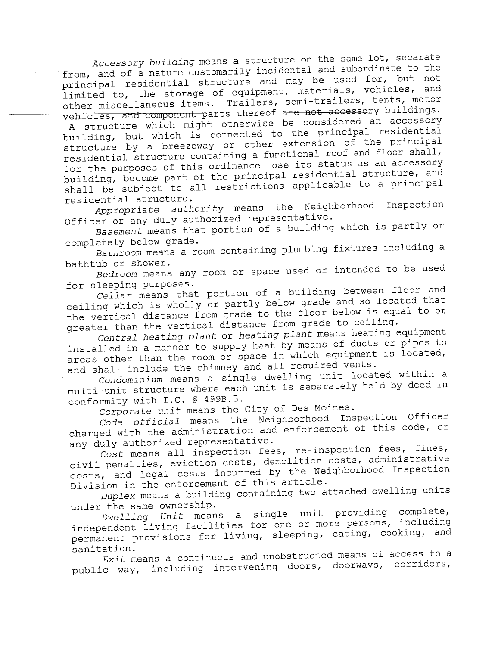Accessory building means a structure on the same lot, separate<br>from, and of a nature customarily incidental and subordinate to the from, and of a nature customarily incluental and subordinate to the principal residential structure and may be used for, but not limited to, the storage of equipment, materials, vehicles, and other miscellaneous items. Trailers, semi -trailers, tents, motor vehicles, and component parts thereof are not accessory buildings.<br>A structure which might otherwise be considered an accessory

building, but which is connected to the principal residential structure by a breezeway or other extension of the principal residential structure containing a functional roof and floor shall,<br>for the purposes of this ordinance lose its status as an accessory for the purposes of this ordinance lose its status as an accessory building, become part of the principal residential structure, and shall be subject to all restrictions applicable to a principal residential structure.

Appropriate authority means the Neighborhood Inspection Officer or any duly authorized representative.

Basement means that portion of a building which is partly or completely below grade.

Bathroom means a room containing plumbing fixtures including a bathtub or shower.

Bedroom means any room or space used or intended to be used for sleeping purposes.

Cellar means that portion of a building between floor and ceiling which is wholly or partly below grade and so located that the vertical distance from grade to the floor below is equal to or greater than the vertical distance from grade to ceiling.

Central heating plant or heating plant means heating equipment installed in a manner to supply heat by means of ducts or pipes to areas other than the room or space in which equipment is located, and shall include the chimney and all required vents.

Condominium means a single dwelling unit located within a multi-unit structure where each unit is separately held by deed in conformity with I.C. § 499B.5.

Corporate unit means the City of Des Moines.

Code official means the Neighborhood Inspection Officer charged with the administration and enforcement of this code, or<br>any duly authorized representative.

 $\overline{\textit{Cost}}$  means all inspection fees, re-inspection fees, fines, civil penalties, eviction costs, demolition costs, administrative costs, and legal costs incurred by the Neighborhood Inspection Division in the enforcement of this article.

Duplex means a building containing two attached dwelling units under the same ownership.

 $Dwelling$  Unit means a single unit providing complete, independent living facilities for one or more persons, including permanent provisions for living, sleeping, eating, cooking, and sanitation.

Exit means a continuous and unobstructed means of access to a public way, including intervening doors, doorways, corridors,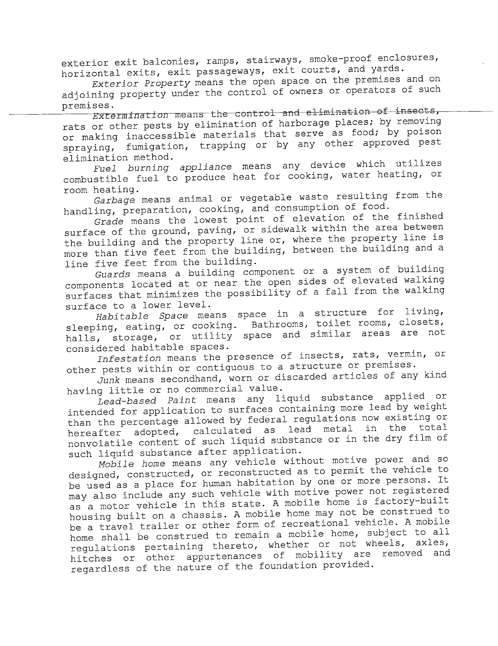exterior exit balconies, ramps, stairways, smoke-proof enclosures, horizontal exits, exit passageways, exit courts, and yards.

Exterior Property means the open space on the premises and on adjoining property under the control of owners or operators of such premises.

 $Extermination$  means the control and elimination of insects, rats or other pests by elimination of harborage places; by removing or making inaccessible materials that serve as food; by poison spraying, fumigation, trapping or by any other approved pest<br>elimination method.

Fuel burning appliance means any device which utilizes combustible fuel to produce heat for cooking, water heating, or room heating.

Garbage means animal or vegetable waste resulting from the handling, preparation, cooking, and consumption of food.

Grade means the lowest point of elevation of the finished surface of the ground, paving, or sidewalk within the area between the building and the property line or, where the property line is more than five feet from the building, between the building and a line five feet from the building.

Guards means a building component or a system of building components located at or near the open sides of elevated walking surfaces that minimizes the possibility of a fall from the walking surface to a lower level.

ce to a lower level.<br>Habitable *Space* means space in a structure for living, Habitable Space means space in a scructure for means,<br>sleeping, eating, or cooking. Bathrooms, toilet rooms, closets, halls, storage, or utility space and similar areas are notconsidered habitable spaces.

Infestation means the presence of insects, rats, vermin, or other pests within or contiguous to a structure or premises.

Junk means secondhand, worn or discarded articles of any kind having little or no commercial value.

Lead-based Paint means any liquid substance applied or intended for application to surfaces containing more lead by weight than the percentage allowed by federal regulations now existing or hereafter adopted, calculated as lead metal in the total nonvolatile content of such liquid substance or in the dry film of such liquid substance after application.

Mobile home means any vehicle without motive power and so designed, constructed, or reconstructed as to permit the vehicle to be used as a place for human habitation by one or more persons. It may also include any such vehicle with motive power not registered as a motor vehicle in this state. A mobile home is factory-built housing built on a chassis. A mobile home may not be construed to be a travel trailer or other form of recreational vehicle. A mobile home shall be construed to remain a mobile home, subject to all regulations pertaining thereto, whether or not wheels, axles, hitches or other appurtenances of mobility are removed and regardless of the nature of the foundation provided.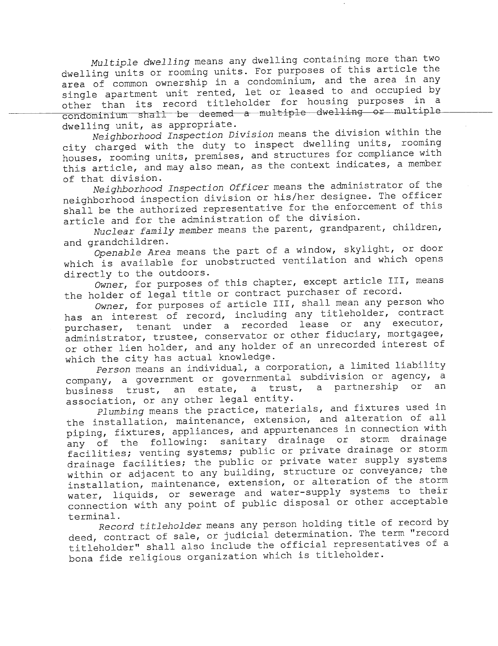Multiple dwelling means any dwelling containing more than two dwelling units or rooming units. For purposes of this article the area of common ownership in a condominium, and the area in any single apartment unit rented, let or leased to and occupied by other than its record titleholder for housing purposes in a  $\overline{\text{condominium}}$  shall be deemed a multiple dwelling or multiple dwelling unit, as appropriate.

Neighborhood Inspection Division means the division within the city charged with the duty to inspect dwelling units, rooming houses, rooming units, premises, and structures for compliance with this article, and may also mean, as the context indicates, a member of that division.

Neighborhood Inspection Officer means the administrator of the neighborhood inspection division or his/her designee. The officer shall be the authorized representative for the enforcement of this article and for the administration of the division.

Nuclear family member means the parent, grandparent, children, and grandchildren.

Openable Area means the part of a window, skylight, or door which is available for unobstructed ventilation and which opens directly to the outdoors.

Owner, for purposes of this chapter, except article III, means the holder of legal title or contract purchaser of record.

Owner, for purposes of article III, shall mean any person who has an interest of record, including any titleholder, contract purchaser, tenant under a recorded lease or any executor, administrator, trustee, conservator or other fiduciary, mortgagee, or other lien holder, and any holder of an unrecorded interest of which the city has actual knowledge.

Person means an individual, a corporation, a limited liability company, a government or governmental subdivision or agency, a business trust, an estate, a trust, a partnership or association, or any other legal entity.

Plumbing means the practice, materials, and fixtures used in the installation, maintenance, extension, and alteration of all piping, fixtures, appliances, and appurtenances in connection with any of the following: sanitary drainage or storm drainage facilities; venting systems; public or private drainage or storm drainage facilities; the public or private water supply systems within or adjacent to any building, structure or conveyance; the installation, maintenance, extension, or alteration of the storm water, liquids, or sewerage and water-supply systems to their connection with any point of public disposal or other acceptable terminal.

Record titleholder means any person holding title of record by deed, contract of sale, or judicial determination. The term "record titleholder" shall also include the official representatives of a bona fide religious organization which is titleholder.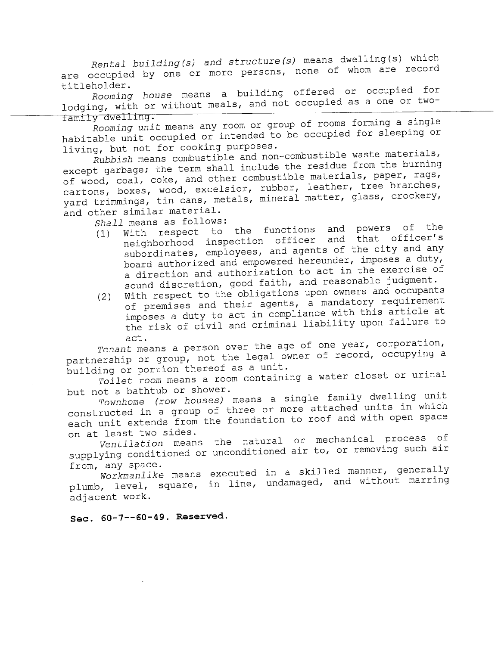Rental building (s) and structure (s) means dwelling (s) which<br>are occupied by one or more persons, none of whom are record are occupied by one or more persons, none or whom are recorded<br>titleholder.

Rooming house means a building offered of occupied for lodging, with or without meals, and not occupied as a one or twotamily dwelling.

Rooming unit means any room or group of rooms forming a single habitable unit occupied or intended to be occupied for sleeping or

living, but not for cooking purposes.<br>Rubbish means combustible and non-combustible waste materials, except garbage; the term shall include the residue from the burning of wood, coal, coke, and other combustible materials, paper, rags, cartons, boxes, wood, excelsior, rubber, leather, tree branches, cartons, boxes, wood, excelsior, rubber, reacher, cree branches, yard trimmings, tin cans, metals, mineral matter, glass, crocker, and other similar material.

- Shall means as follows:<br>(1) With respect to the functions and powers of the (1) With respect to the functions and powers of the functions and that officer's neighborhood inspection officer and that officer's subordinates, employees, and agents of the city and any board authorized and empowered hereunder, imposes a duty, board authorized and empowered hereunder, imposes a duty, a direction and authorization to act in the exercise of sound discretion, good faith, and reasonable judgment.<br>(2) With respect to the obligations upon owners and occupants
- (2) With respect to the obligations upon owners were requirement of premises and their agents, a manuatory requirement imposes a duty to act in compliance with this article at the risk of civil and criminal liability upon failure to act.

Tenant means a person over the age of one year, corporation, partnership or group, not the legal owner of record, occupying a building or portion thereof as a unit.

Toilet room means a room containing a water closet or urinal but not a bathtub or shower.

Townhome (row houses) means a single family dwelling unit constructed in a group of three or more attached units in which each unit extends from the foundation to roof and with open space on at least two sides.

Ventilation means the natural or mechanical process of supplying conditioned or unconditioned air to, or removing such air from, any space.

water of the means executed in a skilled manner, generally plumb, level, square, in line, undamaged, and without marring adj acent work.

Sec. 60-7--60-49. Reserved.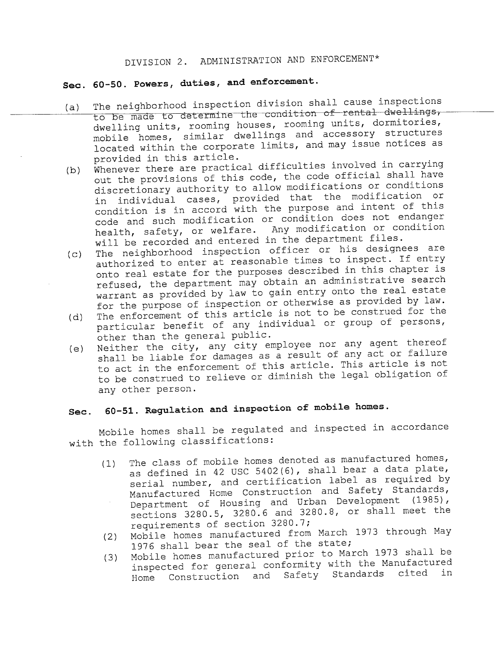# DIVISION 2. ADMINISTRATION AND ENFORCEMENT\*

# Sec. 60-50. Powers, duties, and enforcement.

- (a) The neighborhood inspection division shall cause inspections<br>to be made to determine the condition of rental dwellings, dwelling units, rooming houses, rooming units, dormitories, mobile homes, similar dwellings and accessory structures located within the corporate limits, and may issue notices as
- provided in this article.<br>Whenever there are practical difficulties involved in carrying (b) Whenever there are practical difficulties involved in the set out the provisions of this code, the code official shall have discretionary authority to allow modifications or conditions in individual cases, provided that the modification or condition is in accord with the purpose and intent of this code and such modification or condition does not endanger health, safety, or welfare. Any modification or condition
- will be recorded and entered in the department files.<br>The neighborhood inspection officer or his designees are (c) The neighborhood inspection officer or his designees are authorized to enter at reasonable times to inspect. If entry onto real estate for the purposes described in this chapter is refused, the department may obtain an administrative search warrant as provided by law to gain entry onto the real estate for the purpose of inspection or otherwise as provided by law.<br>The enforcement of this article is not to be construed for the
- (d) The enforcement of this article is not to be constructed for the construction of the set in the set the set the set of the set of the set of the set of the set of the set of the set of the set of the set of the set of particular benefit of any individual or group of persons,
- other than the general public.<br>Neither the city, any city employee nor any agent thereof (e) Neither the city, any city employee nor any agence thereof<br>shall be liable for damages as a result of any act or failure shall be liable for damages as a result of any act of furrare to act in the enforcement of this affilie. This article is not to be construed to relieve or diminish the legal obligation of any other person.

# Sec. 60-51. Regulation and inspection of mobile homes.

Mobile homes shall be regulated and inspected in accordance with the following classifications:

- (1) The class of mobile homes denoted as manufactured homes, as defined in 42 USC 5402 (6), shall bear a data plate, serial number, and certification label as required by Manufactured Home Construction and Safety Standards, Department of Housing and Urban Development (1985), sections 3280.5, 3280.6 and 3280.8, or shall meet the requirements of section 3280.7;
- (2) Mobile homes manufactured from March 1973 through May
- 1976 shall bear the seal of the state;<br>Mobile homes manufactured prior to March 1973 shall be (3) Mobile homes manufactured prior to hard 1973 share as inspected for general conformity with the Manufactured Home Construction and Safety Standards cited in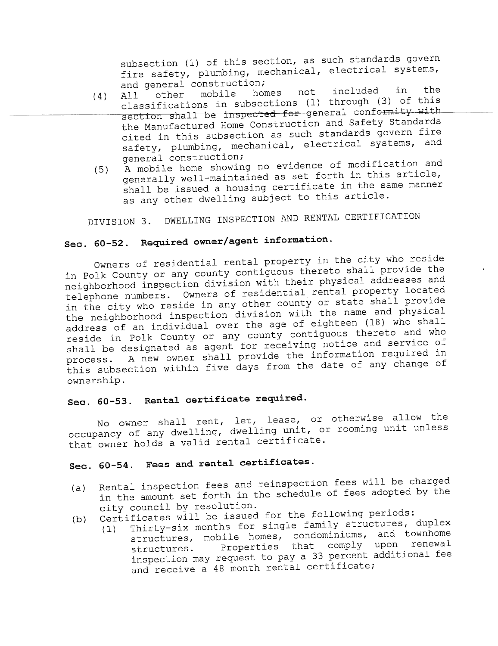subsection (1) of this section, as such standards govern fire safety, plumbing, mechanical, electrical systems, and general construction;<br>All other mobile homes

- (4) All other mobile homes not included in the<br>intervals in the subsections (1) through (3) of this classifications in subsections (1) through (3) of this section shall be inspected for general conformity with the Manufactured Home Construction and Safety Standards cited in this subsection as such standards govern fire safety, plumbing, mechanical, electrical systems, and
- general construction;<br>A mobile home showing no evidence of modification and  $(5)$  A mobile home showing no evidence of modification and  $(5)$ generally well-maintained as set forth in this dictory, shall be issued a housing certificate in the same manner as any other dwelling subject to this article.

DIVISION 3. DWELLING INSPECTION AND RENTAL CERTIFICATION

# Sec. 60-52. Required owner/agent information.

Owners of residential rental property in the city who reside in Polk County or any county contiguous thereto shall provide the<br>neighborhood inspection division with their physical addresses and neighborhood inspection division with their physical addresses. telephone numbers. Owners of residential rental property interest in the city who reside in any other county of seace shall provide the neighborhood inspection division with the name and physical address of an individual over the age of eighteen (18) who shall reside in Polk County or any county contiguous thereto and who<br>shall be designated as agent for receiving notice and service of shall be designated as agent for receiving notice and service of process. A new owner shall provide the information required in<br>process. A new owner shall provide the date of any change of this subsection within five days from the date of any change of ownership.

# Sec. 60-53. Rental certificate required.

No owner shall rent, let, lease, or otherwise allow the occupancy of any dwelling, dwelling unit, or rooming unit unless that owner holds a valid rental certificate.

# Sec. 60-54. Fees and rental certificates.

- in the amount set forth in the schedule of fees adopted by the Rental inspection fees and reinspection fees will be charged city council by resolution.<br>Certificates will be issued for the following periods:
- 
- (b) Certificates will be issued for the forrowing periods:<br>(1) Thirty-six months for single family structures, duplex (1) Thirty-six months for single family structures, and<br>interesting the seconominiums, and townhome structures, mobile homes, condominiums, and townhome structures. Properties that comply upon renewal inspection may request to pay a 33 percent additional fee and receive a 48 month rental certificate;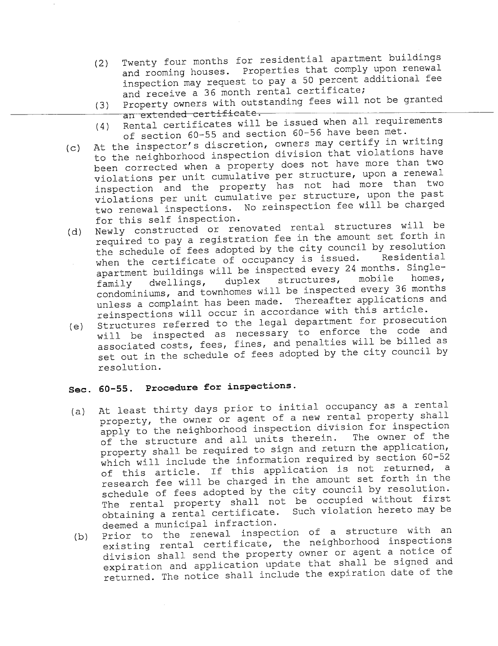- (2) Twenty four months for residential apartments where y and rooming houses. Properties that comply upon renewal inspection may request to pay a 50 percent additional fee
- and receive a 36 month rental certificate;<br>Property owners with outstanding fees will not be granted (3) Property owners with outstanding fees will not be granted<br>an extended certificate.<br>(4) Rental certificates will be issued when all requirements
- (4) Rental certificates will be issued when  $\frac{1}{2}$  requirements. of section 60-55 and section 60-56 have been met.
- (c) At the inspector's discretion, owners may certify  $\frac{1}{2}$ to the neighborhood inspection division that violations have been corrected when a property does not have more than two violations per unit cumulative per structure, upon a renewal inspection and the property has not had more than two violations per unit cumulative per structure, upon the past two renewal inspections. No reinspection fee will be charged
- for this self inspection.<br>Newly constructed or renovated rental structures will be (d) Newly constructed or renovated rental structures with in required to pay a registration fee in the amount set forth an the schedule of fees adopted by the city council by resolution when the certificate of occupancy is issued. Residential apartment buildings will be inspected every 24 months. Single-<br>family dwellings, duplex structures, mobile homes, family dwellings, duplex structures, mobile homes, condominiums, and townhomes will be inspected every 36 months unless a complaint has been made. Thereafter applications and reinspections will occur in accordance with this article.<br>Structures referred to the legal department for prosecution
- (e) Structures referred to the legal department for procedure will be inspected as necessary to enforce the code and associated costs, fees, fines, and penalties will be billed as set out in the schedule of fees adopted by the city council by resolution.

## Sec. 60-55. Procedure for inspections.

- (a) At least thirty days prior to initial occupancy as a rental property, the owner or agent of a new rental property shall apply to the neighborhood inspection division for inspection of the structure and all units therein. The owner of the property shall be required to sign and return the application, which will include the information required by section 60-52 of this article. If this application is not returned, a<br>research fee will be charged in the amount set forth in the schedule of fees adopted by the city council by resolution. The rental property shall not be occupied without first obtaining a rental certificate. Such violation hereto may be
- deemed a municipal infraction.<br>Prior to the renewal inspection of a structure with an (b) Prior to the renewal inspection of a scrubbard with we existing rental certificate, the neighborhood inspections division shall send the property owner or agent a notice of expiration and application update that shall be signed and returned. The notice shall include the expiration date of the